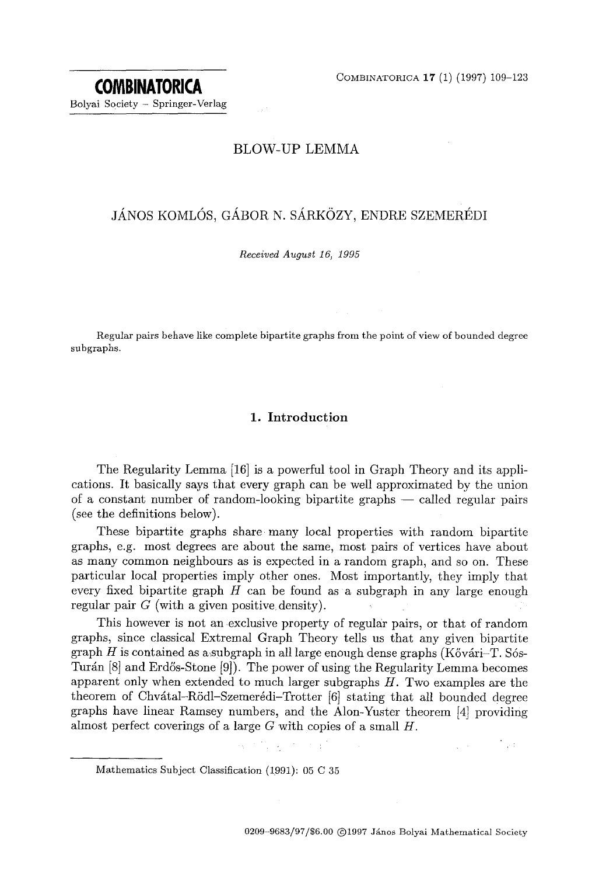COMBINATORICA 17 (1) (1997) 109-123

# BLOW-UP LEMMA

# JÁNOS KOMLÓS, GÁBOR N. SÁRKÖZY, ENDRE SZEMERÉDI

*Received August 16, 1995* 

Regular pairs behave like complete bipartite graphs from the point of view of bounded degree subgraphs.

# 1. Introduction

The Regularity Lemma [16] is a powerful tool in Graph Theory and its applications. It basically says that every graph can be well approximated by the union of a constant number of random-looking bipartite graphs — called regular pairs (see the definitions below).

These bipartite graphs share many local properties with random bipartite graphs, e.g. most degrees are about the same, most pairs of vertices have about as many common neighbours as is expected in a random graph, and so on. These particular local properties imply other ones. Most importantly, they imply that every fixed bipartite graph  $H$  can be found as a subgraph in any large enough regular pair  $G$  (with a given positive density).

This however is not an exclusive property of regular pairs, or that of random graphs, since classical Extremal Graph Theory tells us that any given bipartite graph H is contained as a subgraph in all large enough dense graphs (Kővárj–T. Sós-Turán  $[8]$  and Erdős-Stone  $[9]$ . The power of using the Regularity Lemma becomes apparent only when extended to much larger subgraphs  $H$ . Two examples are the theorem of Chvátal-Rödl-Szemerédi-Trotter  $[6]$  stating that all bounded degree graphs have linear Ramsey numbers, and the Alon-Yuster theorem [4] providing almost perfect coverings of a large  $G$  with copies of a small  $H$ .

 $\label{eq:1} \mathcal{L}_{\mathbf{X}} = \mathcal{L} \left( \mathcal{L}_{\mathbf{X}}^{\mathbf{X}} \right) \mathcal{L}_{\mathbf{X}} = \mathcal{L}_{\mathbf{X}} \left( \mathcal{L}_{\mathbf{X}}^{\mathbf{X}} \right) \mathcal{L}_{\mathbf{X}}^{\mathbf{X}}$ 

i ya

Mathematics Subject Classification (1991): 05 C 35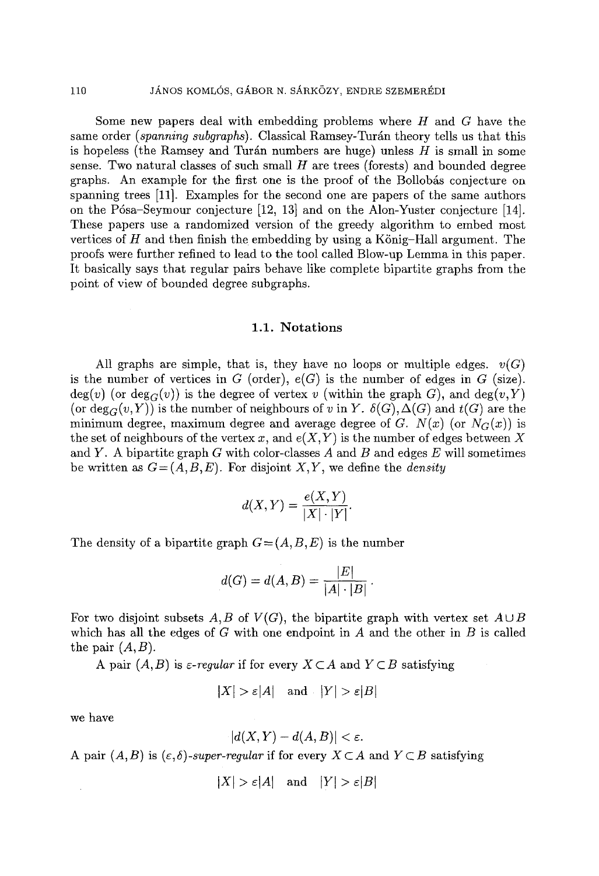Some new papers deal with embedding problems where  $H$  and  $G$  have the same order *(spanning subgraphs)*. Classical Ramsey-Turán theory tells us that this is hopeless (the Ramsey and Turán numbers are huge) unless  $H$  is small in some sense. Two natural classes of such small  $H$  are trees (forests) and bounded degree graphs. An example for the first one is the proof of the Bollobás conjecture on spanning trees [11]. Examples for the second one are papers of the same authors on the P6sa-Seymour conjecture [12, 13] and on the Alon-Yuster conjecture [14]. These papers use a randomized version of the greedy algorithm to embed most vertices of  $H$  and then finish the embedding by using a König-Hall argument. The proofs were further refined to lead to the tool called Blow-up Lemma in this paper. It basically says that regular pairs behave like complete bipartite graphs from the point of view of bounded degree subgraphs.

# 1.1. Notations

All graphs are simple, that is, they have no loops or multiple edges.  $v(G)$ is the number of vertices in G (order),  $e(G)$  is the number of edges in G (size).  $deg(v)$  (or  $deg_G(v)$ ) is the degree of vertex v (within the graph G), and  $deg(v,Y)$ (or  $deg_G(v,Y)$ ) is the number of neighbours of v in Y.  $\delta(G), \Delta(G)$  and  $t(G)$  are the minimum degree, maximum degree and average degree of *G. N(x)* (or  $N_G(x)$ ) is the set of neighbours of the vertex  $x$ , and  $e(X, Y)$  is the number of edges between X and Y. A bipartite graph G with color-classes A and B and edges  $E$  will sometimes be written as  $G = (A, B, E)$ . For disjoint *X,Y*, we define the *density* 

$$
d(X,Y) = \frac{e(X,Y)}{|X| \cdot |Y|}.
$$

The density of a bipartite graph  $G = (A, B, E)$  is the number

$$
d(G) = d(A, B) = \frac{|E|}{|A| \cdot |B|}.
$$

For two disjoint subsets  $A, B$  of  $V(G)$ , the bipartite graph with vertex set  $A \cup B$ which has all the edges of  $G$  with one endpoint in  $A$  and the other in  $B$  is called the pair  $(A, B)$ .

A pair  $(A, B)$  is *e-regular* if for every  $X \subset A$  and  $Y \subset B$  satisfying

$$
|X| > \varepsilon |A| \quad \text{and} \quad |Y| > \varepsilon |B|
$$

we have

$$
|d(X,Y)-d(A,B)|<\varepsilon.
$$

A pair  $(A, B)$  is  $(\varepsilon, \delta)$ -super-regular if for every  $X \subset A$  and  $Y \subset B$  satisfying

$$
|X| > \varepsilon |A| \quad \text{and} \quad |Y| > \varepsilon |B|
$$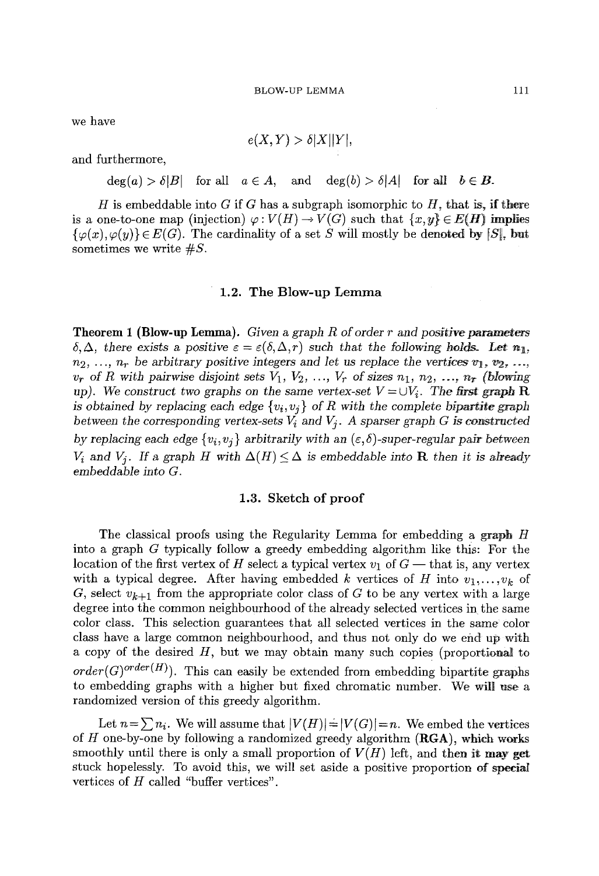we have

$$
e(X,Y) > \delta |X||Y|,
$$

and furthermore,

 $deg(a) > \delta |B|$  for all  $a \in A$ , and  $deg(b) > \delta |A|$  for all  $b \in B$ .

H is embeddable into G if G has a subgraph isomorphic to H, that is, if there is a one-to-one map (injection)  $\varphi: V(H) \to V(G)$  such that  $\{x, y\} \in E(H)$  implies  ${ {\varphi(x), \varphi(y) } \in E(G)}$ . The cardinality of a set S will mostly be denoted by  $|S|$ , but sometimes we write  $\#S$ .

### 1.2. The Blow-up **Lemma**

**Theorem 1 (Blow-up Lemma).** *Given a graph R of order r and positive parameters*   $\delta, \Delta$ , there exists a positive  $\varepsilon = \varepsilon(\delta, \Delta, r)$  such that the following holds. Let  $n_1$ ,  $n_2, \ldots, n_r$  be arbitrary positive integers and let us replace the vertices  $v_1, v_2, \ldots$  $v_r$  of R with pairwise disjoint sets  $V_1, V_2, ..., V_r$  of sizes  $n_1, n_2, ..., n_r$  (blowing *up). We construct two graphs on the same vertex-set*  $V = \bigcup V_i$ *. The first graph R is obtained by replacing each edge*  $\{v_i, v_j\}$  *of R with the complete bipartite graph* between the corresponding vertex-sets  $V_i$  and  $V_j$ . A sparser graph G is constructed *by replacing each edge*  $\{v_i, v_j\}$  *arbitrarily with an*  $(\varepsilon, \delta)$ *-super-regular pair between*  $V_i$  and  $V_j$ . If a graph H with  $\Delta(H) \leq \Delta$  is embeddable into **R** then it is already *embeddable into G.* 

# **1.3. Sketch of proof**

The classical proofs using the Regularity Lemma for embedding a graph H into a graph G typically follow a greedy embedding algorithm like this: For the location of the first vertex of H select a typical vertex  $v_1$  of  $G$  -- that is, any vertex with a typical degree. After having embedded k vertices of H into  $v_1, \ldots, v_k$  of G, select  $v_{k+1}$  from the appropriate color class of G to be any vertex with a large degree into the common neighbourhood of the already selected vertices in the same color class. This selection guarantees that all selected vertices in the same color class have a large common neighbourhood, and thus not only do we end up with a copy of the desired  $H$ , but we may obtain many such copies (proportional to  $order(G)^{order(H)}$ ). This can easily be extended from embedding bipartite graphs to embedding graphs with a higher but fixed chromatic number. We will use a randomized version of this greedy algorithm.

Let  $n=\sum n_i$ . We will assume that  $|V(H)|=|V(G)|=n$ . We embed the vertices of  $H$  one-by-one by following a randomized greedy algorithm  $(RGA)$ , which works smoothly until there is only a small proportion of  $V(H)$  left, and then it may get stuck hopelessly. To avoid this, we will set aside a positive proportion of speciaI vertices of  $H$  called "buffer vertices".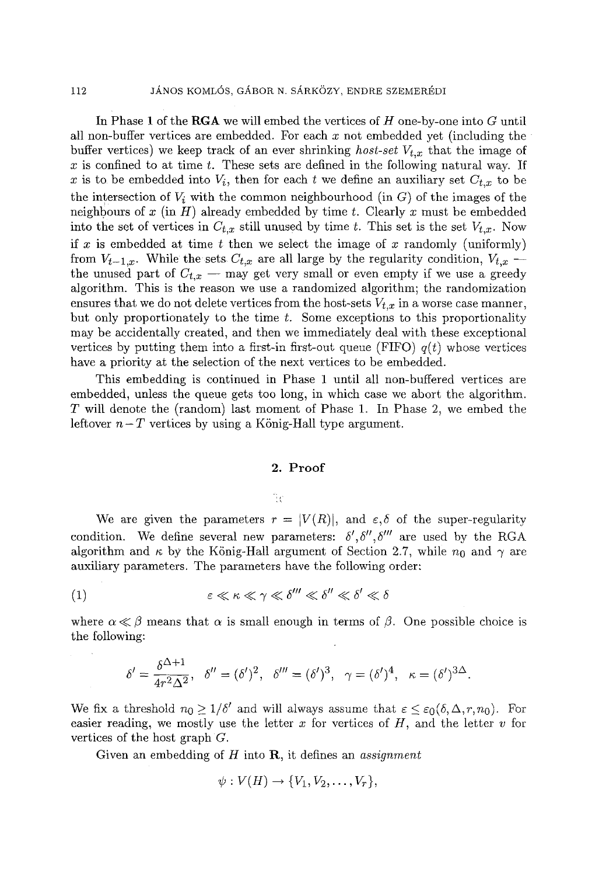In Phase 1 of the RGA we will embed the vertices of  $H$  one-by-one into  $G$  until all non-buffer vertices are embedded. For each  $x$  not embedded yet (including the buffer vertices) we keep track of an ever shrinking *host-set*  $V_{t,x}$  that the image of x is confined to at time  $t$ . These sets are defined in the following natural way. If x is to be embedded into  $V_i$ , then for each t we define an auxiliary set  $C_{t,x}$  to be the intersection of  $V_i$  with the common neighbourhood (in  $G$ ) of the images of the neighbours of x (in H) already embedded by time t. Clearly x must be embedded into the set of vertices in  $C_{t,x}$  still unused by time t. This set is the set  $V_{t,x}$ . Now if x is embedded at time t then we select the image of x randomly (uniformly) from  $V_{t-1,x}$ . While the sets  $C_{t,x}$  are all large by the regularity condition,  $V_{t,x}$  -the unused part of  $C_{t,x}$  -- may get very small or even empty if we use a greedy algorithm. This is the reason we use a randomized algorithm; the randomization ensures that we do not delete vertices from the host-sets  $V_{t,x}$  in a worse case manner, but only proportionately to the time  $t$ . Some exceptions to this proportionality may be accidentally created, and then we immediately deal with these exceptional vertices by putting them into a first-in first-out queue (FIFO)  $q(t)$  whose vertices have a priority at the selection of the next vertices to be embedded.

This embedding is continued in Phase 1 until all non-buffered vertices are embedded, unless the queue gets too long, in which case we abort the algorithm. T will denote the (random) last moment of Phase I. In Phase 2, we embed the leftover  $n-T$  vertices by using a König-Hall type argument.

## 2. Proof

ੰਦ

We are given the parameters  $r = |V(R)|$ , and  $\varepsilon, \delta$  of the super-regularity condition. We define several new parameters:  $\delta', \delta'', \delta'''$  are used by the RGA algorithm and  $\kappa$  by the König-Hall argument of Section 2.7, while  $n_0$  and  $\gamma$  are auxiliary parameters. The parameters have the following order:

$$
\varepsilon \ll \kappa \ll \gamma \ll \delta''' \ll \delta'' \ll \delta' \ll \delta
$$

where  $\alpha \ll \beta$  means that  $\alpha$  is small enough in terms of  $\beta$ . One possible choice is the following:

$$
\delta' = \frac{\delta^{\Delta+1}}{4r^2\Delta^2}, \quad \delta'' = (\delta')^2, \quad \delta''' = (\delta')^3, \quad \gamma = (\delta')^4, \quad \kappa = (\delta')^{3\Delta}.
$$

We fix a threshold  $n_0 \geq 1/\delta'$  and will always assume that  $\varepsilon \leq \varepsilon_0(\delta, \Delta, r, n_0)$ . For easier reading, we mostly use the letter  $x$  for vertices of  $H$ , and the letter  $v$  for vertices of the host graph G.

Given an embedding of H into R, it defines an *assignment* 

$$
\psi: V(H) \to \{V_1, V_2, \ldots, V_r\},\
$$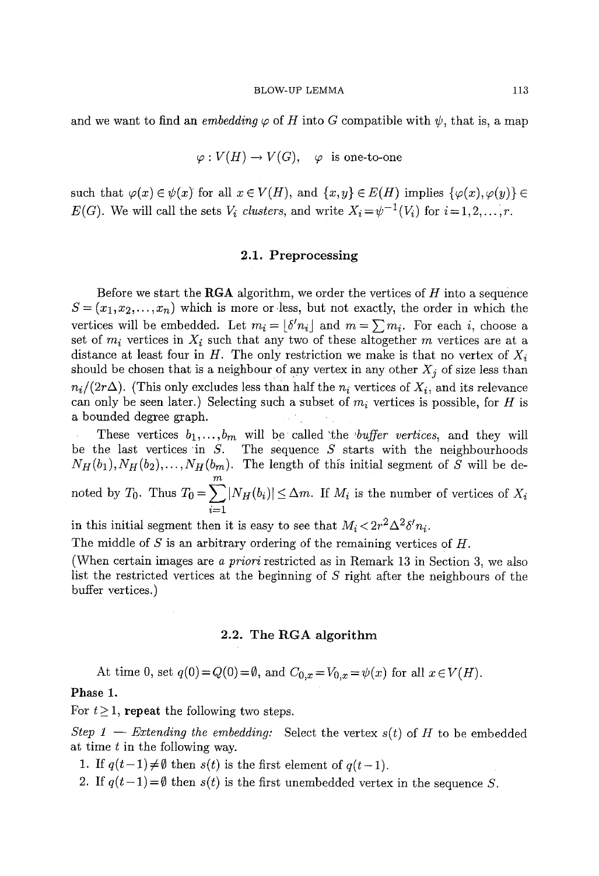and we want to find an *embedding*  $\varphi$  of H into G compatible with  $\psi$ , that is, a map

$$
\varphi: V(H) \to V(G), \varphi
$$
 is one-to-one

such that  $\varphi(x) \in \psi(x)$  for all  $x \in V(H)$ , and  $\{x, y\} \in E(H)$  implies  $\{\varphi(x), \varphi(y)\} \in$ *E(G).* We will call the sets  $V_i$  clusters, and write  $X_i = \psi^{-1}(V_i)$  for  $i = 1, 2, \ldots, r$ .

## 2.1. Preprocessing

Before we start the **RGA** algorithm, we order the vertices of  $H$  into a sequence  $S = (x_1, x_2, \ldots, x_n)$  which is more or less, but not exactly, the order in which the vertices will be embedded. Let  $m_i = |\delta' n_i|$  and  $m = \sum m_i$ . For each i, choose a set of  $m_i$  vertices in  $X_i$  such that any two of these altogether m vertices are at a distance at least four in H. The only restriction we make is that no vertex of  $X_i$ should be chosen that is a neighbour of any vertex in any other  $X_i$  of size less than  $n_i/(2r\Delta)$ . (This only excludes less than half the  $n_i$  vertices of  $X_i$ , and its relevance can only be seen later.) Selecting such a subset of  $m<sub>i</sub>$  vertices is possible, for H is a bounded degree graph.

These vertices  $b_1, \ldots, b_m$  will be called the *buffer vertices*, and they will be the last vertices in  $S$ . The sequence  $S$  starts with the neighbourhoods  $N_H(b_1), N_H(b_2), \ldots, N_H(b_m)$ . The length of this initial segment of  $\tilde{S}$  will be denoted by  $T_0$ . Thus  $T_0 = \sum |N_H(b_i)| \leq \Delta m$ . If  $M_i$  is the number of vertices of  $X_i$  $i=1$ 

in this initial segment then it is easy to see that  $M_i < 2r^2 \Delta^2 \delta' n_i$ .

The middle of S is an arbitrary ordering of the remaining vertices of H.

(When certain images are *a priori* restricted as in Remark 13 in Section 3, we also list the restricted vertices at the beginning of S right after the neighbours of the buffer vertices.)

# 2.2. The RGA algorithm

At time 0, set  $q(0) = Q(0) = \emptyset$ , and  $C_{0,x} = V_{0,x} = \psi(x)$  for all  $x \in V(H)$ .

# Phase 1.

For  $t \geq 1$ , repeat the following two steps.

*Step 1 -- Extending the embedding:* Select the vertex  $s(t)$  of H to be embedded at time t in the following way.

1. If  $q(t-1) \neq \emptyset$  then  $s(t)$  is the first element of  $q(t-1)$ .

2. If  $q(t-1) = \emptyset$  then  $s(t)$  is the first unembedded vertex in the sequence S.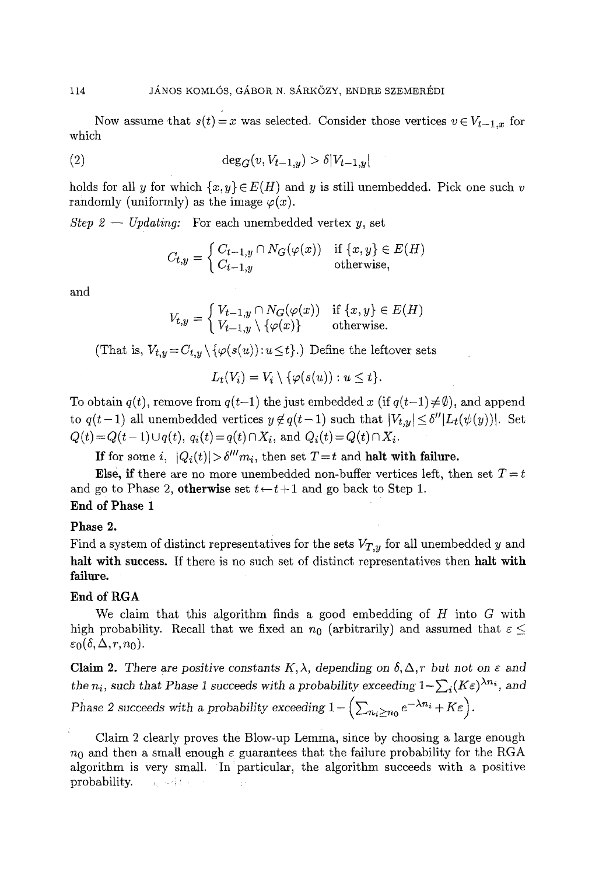Now assume that  $s(t)=x$  was selected. Consider those vertices  $v \in V_{t-1,x}$  for which

(2) 
$$
\deg_G(v, V_{t-1,y}) > \delta |V_{t-1,y}|
$$

holds for all y for which  $\{x, y\} \in E(H)$  and y is still unembedded. Pick one such v randomly (uniformly) as the image  $\varphi(x)$ .

*Step 2 -- Updating:* For each unembedded vertex y, set

$$
C_{t,y} = \begin{cases} C_{t-1,y} \cap N_G(\varphi(x)) & \text{if } \{x,y\} \in E(H) \\ C_{t-1,y} & \text{otherwise,} \end{cases}
$$

and

$$
V_{t,y} = \begin{cases} V_{t-1,y} \cap N_G(\varphi(x)) & \text{if } \{x,y\} \in E(H) \\ V_{t-1,y} \setminus \{\varphi(x)\} & \text{otherwise.} \end{cases}
$$

(That is,  $V_{t,y} = C_{t,y} \setminus {\varphi(s(u)) : u \le t}$ .) Define the leftover sets

$$
L_t(V_i) = V_i \setminus \{ \varphi(s(u)) : u \leq t \}.
$$

To obtain  $q(t)$ , remove from  $q(t-1)$  the just embedded x (if  $q(t-1)\neq \emptyset$ ), and append to  $q(t-1)$  all unembedded vertices  $y \notin q(t-1)$  such that  $|V_{t,y}| \leq \delta''|L_t(\psi(y))|$ . Set  $Q(t) = Q(t-1) \cup q(t), q_i(t) = q(t) \cap X_i$ , and  $Q_i(t) = Q(t) \cap X_i$ .

If for some *i*,  $|Q_i(t)| > \delta^{\prime\prime\prime} m_i$ , then set  $T = t$  and **halt with failure.** 

Else, if there are no more unembedded non-buffer vertices left, then set  $T=t$ and go to Phase 2, otherwise set  $t \leftarrow t+1$  and go back to Step 1. End of Phase **1** 

Phase **2.** 

Find a system of distinct representatives for the sets  $V_{T,y}$  for all unembedded y and halt with success. If there is no such set of distinct representatives then halt with failure.

# End of RGA

We claim that this algorithm finds a good embedding of  $H$  into  $G$  with high probability. Recall that we fixed an  $n_0$  (arbitrarily) and assumed that  $\varepsilon \leq$  $\varepsilon_0(\delta, \Delta, r, n_0)$ .

Claim 2. There are positive constants  $K, \lambda$ , depending on  $\delta, \Delta, r$  but not on  $\varepsilon$  and *the n<sub>i</sub>*, such that Phase 1 succeeds with a probability exceeding  $1-\sum_i (K\epsilon)^{\lambda n_i}$ , and *Phase 2 succeeds with a probability exceeding*  $1 - \left(\sum_{n_i \ge n_0} e^{-\lambda n_i} + K \varepsilon\right)$ .

Claim 2 clearly proves the Blow-up Lemma, since by choosing a large enough  $n_0$  and then a small enough  $\varepsilon$  guarantees that the failure probability for the RGA algorithm is very small. In particular, the algorithm succeeds with a positive probability. **All supports**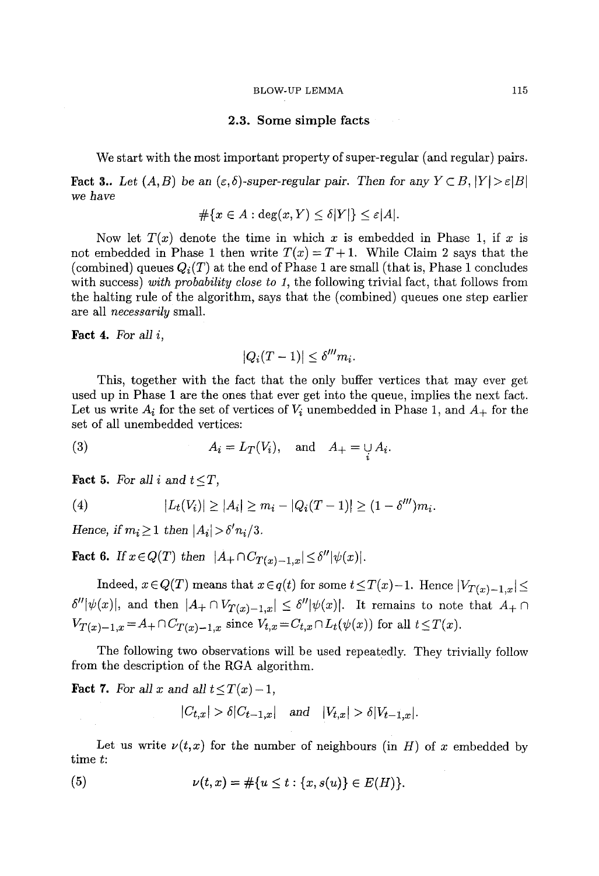#### 2.3. Some simple facts

We start with the most important property of super-regular (and regular) pairs.

**Fact 3..** Let  $(A, B)$  be an  $(\varepsilon, \delta)$ -super-regular pair. Then for any  $Y \subset B$ ,  $|Y| > \varepsilon |B|$ *we have* 

$$
\# \{ x \in A : \deg(x, Y) \le \delta |Y| \} \le \varepsilon |A|.
$$

Now let  $T(x)$  denote the time in which x is embedded in Phase 1, if x is not embedded in Phase 1 then write  $T(x) = T + 1$ . While Claim 2 says that the (combined) queues  $Q_i(T)$  at the end of Phase 1 are small (that is, Phase 1 concludes with success) *with probability close to 1,* the following trivial fact, that follows from the halting rule of the algorithm, says that the (combined) queues one step earlier are all *necessarily* small.

Fact 4. For *all i,* 

$$
|Q_i(T-1)| \le \delta''' m_i.
$$

This, together with the fact that the only buffer vertices that may ever get used up in Phase 1 are the ones that ever get into the queue, implies the next fact. Let us write  $A_i$  for the set of vertices of  $V_i$  unembedded in Phase 1, and  $A_+$  for the set of all unembedded vertices:

(3) 
$$
A_i = L_T(V_i), \text{ and } A_+ = \bigcup_i A_i.
$$

Fact 5. For all i and  $t \leq T$ ,

(4) 
$$
|L_t(V_i)| \geq |A_i| \geq m_i - |Q_i(T-1)| \geq (1 - \delta^{\prime\prime\prime})m_i.
$$

*Hence, if*  $m_i \geq 1$  *then*  $|A_i| > \delta' n_i/3$ .

**Fact 6.** If  $x \in Q(T)$  then  $|A_+ \cap C_{T(x)-1,x}| \leq \delta'' |\psi(x)|$ .

Indeed,  $x \in Q(T)$  means that  $x \in q(t)$  for some  $t \leq T(x)-1$ . Hence  $|V_{T(x)-1,x}| \leq$  $\delta''[\psi(x)]$ , and then  $|A_+ \cap V_{T(x)-1,x}| \leq \delta''[\psi(x)]$ . It remains to note that  $A_+ \cap$  $V_{T(x)-1,x} = A_+ \cap C_{T(x)-1,x}$  since  $V_{t,x} = C_{t,x} \cap L_t(\psi(x))$  for all  $t \leq T(x)$ .

The following two observations will be used repeatedly. They trivially follow from the description of the RGA algorithm.

**Fact 7.** For all x and all  $t \leq T(x)-1$ ,

$$
|C_{t,x}| > \delta |C_{t-1,x}| \quad \text{and} \quad |V_{t,x}| > \delta |V_{t-1,x}|.
$$

Let us write  $\nu(t,x)$  for the number of neighbours (in H) of x embedded by time t:

(5) 
$$
\nu(t,x) = \#\{u \le t : \{x,s(u)\} \in E(H)\}.
$$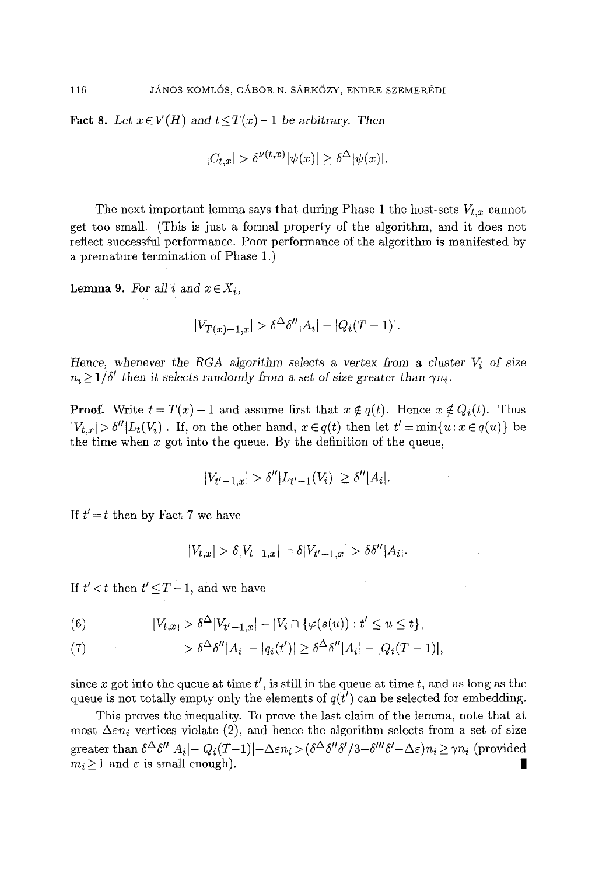Fact 8. Let  $x \in V(H)$  and  $t \leq T(x)-1$  be arbitrary. Then

$$
|C_{t,x}| > \delta^{\nu(t,x)} |\psi(x)| \ge \delta^{\Delta} |\psi(x)|.
$$

The next important lemma says that during Phase 1 the host-sets  $V_{t,x}$  cannot get too small. (This is just a formal property of the algorithm, and it does not reflect successful performance. Poor performance of the algorithm is manifested by a premature termination of Phase I.)

**Lemma 9.** For all i and  $x \in X_i$ ,

$$
|V_{T(x)-1,x}| > \delta^{\Delta} \delta'' |A_i| - |Q_i(T-1)|.
$$

*Hence, whenever the RGA algorithm selects a vertex from a cluster*  $V_i$  *of size*  $n_i \geq 1/\delta'$  then it selects randomly from a set of size greater than  $\gamma n_i$ .

**Proof.** Write  $t = T(x) - 1$  and assume first that  $x \notin q(t)$ . Hence  $x \notin Q_i(t)$ . Thus  $|V_{t,x}| > \delta'' |L_t(V_i)|$ . If, on the other hand,  $x \in q(t)$  then let  $t' = \min\{u : x \in q(u)\}$  be the time when  $x$  got into the queue. By the definition of the queue,

$$
|V_{t'-1,x}| > \delta''|L_{t'-1}(V_i)| \ge \delta''|A_i|.
$$

If  $t' = t$  then by Fact 7 we have

$$
|V_{t,x}| > \delta |V_{t-1,x}| = \delta |V_{t'-1,x}| > \delta \delta'' |A_i|.
$$

If  $t' < t$  then  $t' \leq T - 1$ , and we have

(6) 
$$
|V_{t,x}| > \delta^{\Delta} |V_{t'-1,x}| - |V_i \cap {\varphi(s(u)) : t' \le u \le t}|
$$

(7) 
$$
\qquad \qquad > \delta^{\Delta} \delta'' |A_i| - |q_i(t')| \geq \delta^{\Delta} \delta'' |A_i| - |Q_i(T-1)|,
$$

since x got into the queue at time  $t'$ , is still in the queue at time t, and as long as the queue is not totally empty only the elements of  $q(t')$  can be selected for embedding.

This proves the inequality. To prove the last claim of the temma, note that at most  $\Delta \varepsilon n_i$  vertices violate (2), and hence the algorithm selects from a set of size greater than  $\delta^{\Delta}\delta''|A_i|-|Q_i(T-1)|-\Delta \varepsilon n_i > (\delta^{\Delta}\delta''\delta'/3-\delta'''\delta'-\Delta \varepsilon)n_i \geq \gamma n_i$  (provided  $m_i \geq 1$  and  $\varepsilon$  is small enough).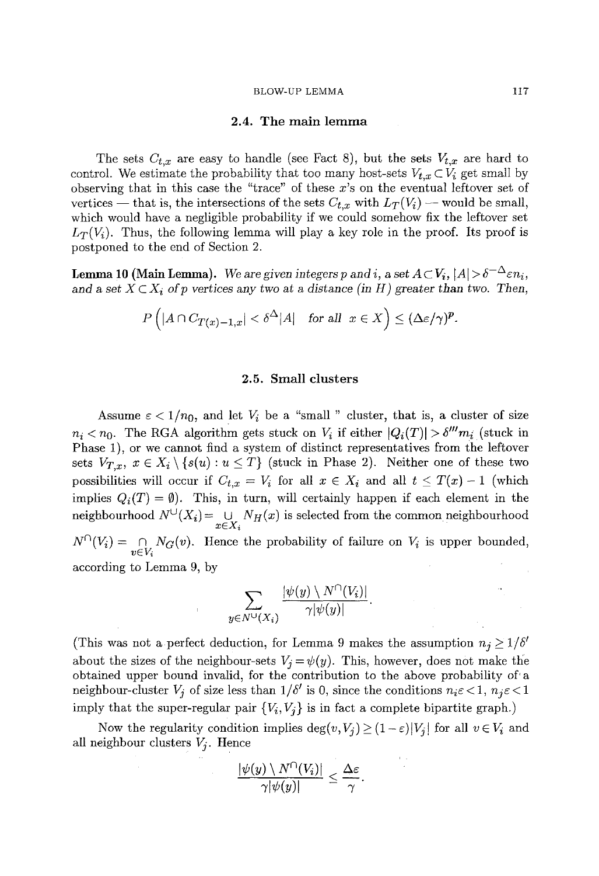### 2.4. The main lemma

The sets  $C_{t,x}$  are easy to handle (see Fact 8), but the sets  $V_{t,x}$  are hard to control. We estimate the probability that too many host-sets  $V_{t,x} \subset V_i$  get small by observing that in this case the "trace" of these x's on the eventual leftover set of vertices — that is, the intersections of the sets  $C_{t,x}$  with  $L_T(V_i)$  — would be small, which would have a negligible probability if we could somehow fix the leftover set  $L_T(V_i)$ . Thus, the following lemma will play a key role in the proof. Its proof is postponed to the end of Section 2.

**Lemma 10 (Main Lemma).** We are given integers p and i, a set  $A \subset V_i$ ,  $|A| > \delta^{-\Delta} \varepsilon n_i$ , and a set  $X \subset X_i$  of p vertices any two at a distance (in H) greater than two. Then,

$$
P\left(|A \cap C_{T(x)-1,x}| < \delta^{\Delta}|A| \quad \text{for all} \;\; x \in X\right) \leq (\Delta\varepsilon/\gamma)^p.
$$

#### 2.5. Small clusters

Assume  $\varepsilon < 1/n_0$ , and let  $V_i$  be a "small " cluster, that is, a cluster of size  $n_i < n_0$ . The RGA algorithm gets stuck on  $V_i$  if either  $|Q_i(T)| > \delta^{\prime\prime\prime} m_i$  (stuck in Phase 1), or we cannot find a system of distinct representatives from the leftover sets  $V_{T,x}$ ,  $x \in X_i \setminus \{s(u) : u \leq T\}$  (stuck in Phase 2). Neither one of these two possibilities will occur if  $C_{t,x} = V_i$  for all  $x \in X_i$  and all  $t \leq T(x) - 1$  (which implies  $Q_i(T) = \emptyset$ . This, in turn, will certainly happen if each element in the neighbourhood  $N^{\cup}(X_i) = \bigcup_{x \in X_i} N_H(x)$  is selected from the common neighbourhood  $N^{\perp}(V_i) = \bigcap_{v \in V_i} N_G(v)$ . Hence the probability of failure on  $V_i$  is upper bounded,

according to Lemma 9, by

$$
\sum_{y \in N^{\cup}(X_i)} \frac{|\psi(y) \setminus N^{\cap}(V_i)|}{\gamma |\psi(y)|}
$$

(This was not a perfect deduction, for Lemma 9 makes the assumption  $n_j \geq 1/\delta'$ about the sizes of the neighbour-sets  $V_j = \psi(y)$ . This, however, does not make the obtained upper bound invalid, for the contribution to the above probability of'a neighbour-cluster  $V_i$  of size less than  $1/\delta'$  is 0, since the conditions  $n_i \epsilon < 1$ ,  $n_j \epsilon < 1$ imply that the super-regular pair  ${V_i, V_j}$  is in fact a complete bipartite graph.)

Now the regularity condition implies  $\deg(v, V_j) \geq (1-\varepsilon)|V_j|$  for all  $v \in V_i$  and all neighbour clusters  $V_i$ . Hence

$$
\frac{|\psi(y)\setminus N^{\cap}(V_i)|}{\gamma |\psi(y)|}\leq \frac{\Delta\varepsilon}{\gamma}.
$$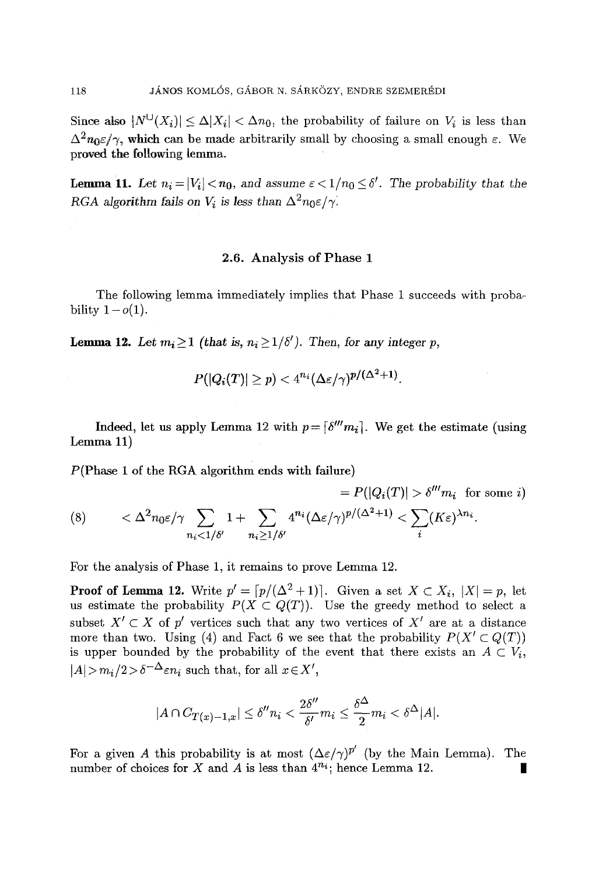Since also  $|N^{\cup}(X_i)| \leq \Delta |X_i| < \Delta n_0$ , the probability of failure on  $V_i$  is less than  $\Delta^2 n_0 \epsilon / \gamma$ , which can be made arbitrarily small by choosing a small enough  $\varepsilon$ . We proved the following lemma.

**Lemma 11.** Let  $n_i = |V_i| < n_0$ , and assume  $\varepsilon < 1/n_0 \le \delta'$ . The probability that the *RGA algorithm fails on V<sub>i</sub> is less than*  $\Delta^2 n_0 \epsilon / \gamma$ .

# 2.6. Analysis of Phase 1

The following lemma immediately implies that Phase I succeeds with probability  $1 - o(1)$ .

**Lemma 12.** Let  $m_i \ge 1$  (that is,  $n_i \ge 1/\delta'$ ). Then, for any integer p,

$$
P(|Q_{\bm i}(T)| \geq p) < 4^{n_{\bm i}} (\Delta \varepsilon / \gamma)^{p/(\Delta^2+1)}.
$$

Indeed, let us apply Lemma 12 with  $p = \lceil \delta^m m_i \rceil$ . We get the estimate (using Lemma 11)

P(Phase 1 of the RGA algorithm ends with failure)

$$
= P(|Q_i(T)| > \delta''' m_i \text{ for some } i)
$$
\n
$$
\langle \delta \rangle \qquad \langle \Delta^2 n_0 \varepsilon / \gamma \sum_{n_i < 1/\delta'} 1 + \sum_{n_i \ge 1/\delta'} 4^{n_i} (\Delta \varepsilon / \gamma)^{p/(\Delta^2 + 1)} < \sum_i (K \varepsilon)^{\lambda n_i}.
$$

For the analysis of Phase 1, it remains to prove Lemma 12.

**Proof of Lemma 12.** Write  $p' = \lfloor p/(\Delta^2 + 1) \rfloor$ . Given a set  $X \subset X_i$ ,  $|X| = p$ , let us estimate the probability  $P(X \subset Q(T))$ . Use the greedy method to select a subset  $X' \subset X$  of p' vertices such that any two vertices of  $X'$  are at a distance more than two. Using (4) and Fact 6 we see that the probability  $P(X' \subset Q(T))$ is upper bounded by the probability of the event that there exists an  $A \subset V_i$ ,  $|A| > m_i/2 > \delta^{-\Delta} \varepsilon n_i$  such that, for all  $x \in X'$ ,

$$
|A \cap C_{T(x)-1,x}| \leq \delta'' n_i < \frac{2\delta''}{\delta'} m_i \leq \frac{\delta^{\Delta}}{2} m_i < \delta^{\Delta} |A|.
$$

For a given A this probability is at most  $(\Delta \varepsilon/\gamma)^{p'}$  (by the Main Lemma). The number of choices for X and A is less than  $4^{n_i}$ ; hence Lemma 12.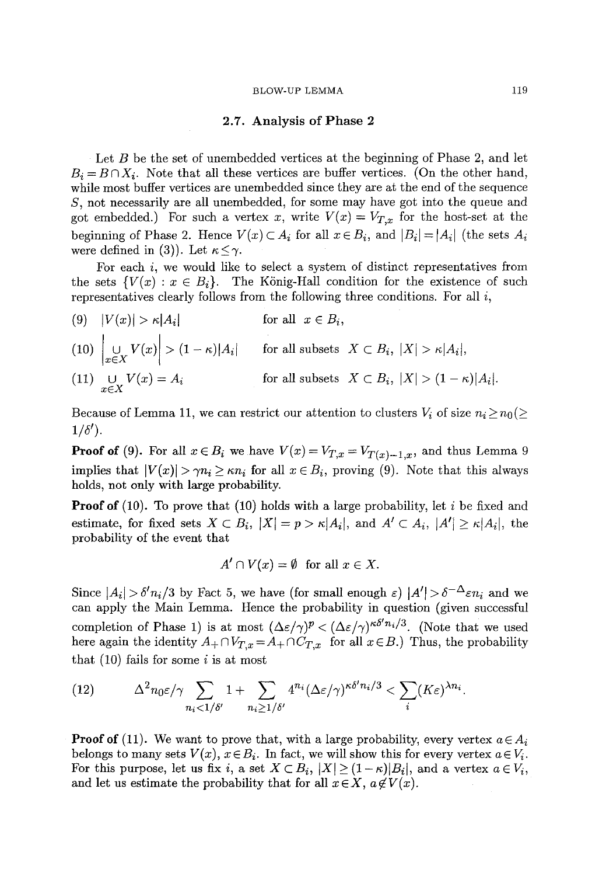### 2.7. Analysis of Phase 2

Let  $B$  be the set of unembedded vertices at the beginning of Phase 2, and let  $B_i = B \cap X_i$ . Note that all these vertices are buffer vertices. (On the other hand, while most buffer vertices are unembedded since they are at the end of the sequence S, not necessarily are all unembedded, for some may have got into the queue and got embedded.) For such a vertex x, write  $V(x) = V_{T,x}$  for the host-set at the beginning of Phase 2. Hence  $V(x) \subset A_i$  for all  $x \in B_i$ , and  $|B_i| = |A_i|$  (the sets  $A_i$ were defined in (3)). Let  $\kappa \leq \gamma$ .

For each i, we would like to select a system of distinct representatives from the sets  $\{V(x): x \in B_i\}$ . The König-Hall condition for the existence of such representatives clearly follows from the following three conditions. For all  $i$ ,

- (9)  $|V(x)| > \kappa |A_i|$  for all  $x \in B_i$ ,
- $(10)$   $\cup$   $V(x) > (1 \kappa) |A_i|$  for all subsets  $X \subset B_i$ ,  $|X| > \kappa |A_i|$ ,  $f$  for all subsets  $X \subset B_i$ ,  $|X| > (1 - \kappa)|A_i|$ . (11)  $\bigcup_{x \in X} V(x) = A_i$

Because of Lemma 11, we can restrict our attention to clusters  $V_i$  of size  $n_i \geq n_0 (\geq$  $1/\delta'$ ).

**Proof of** (9). For all  $x \in B_i$  we have  $V(x) = V_{T,x} = V_{T(x)-1,x}$ , and thus Lemma 9 implies that  $|V(x)| > \gamma n_i \geq \kappa n_i$  for all  $x \in B_i$ , proving (9). Note that this always holds, not only with large probability.

**Proof of** (10). To prove that (10) holds with a large probability, let i be fixed and estimate, for fixed sets  $X \subset B_i$ ,  $|X| = p > \kappa |A_i|$ , and  $A' \subset A_i$ ,  $|A'| \ge \kappa |A_i|$ , the probability of the event that

$$
A' \cap V(x) = \emptyset \text{ for all } x \in X.
$$

Since  $|A_i| > \delta' n_i/3$  by Fact 5, we have (for small enough  $\varepsilon$ )  $|A'| > \delta^{-\Delta} \varepsilon n_i$  and we can apply the Main Lemma. Hence the probability in question (given successful completion of Phase 1) is at most  $(\Delta \varepsilon/\gamma)^p < (\Delta \varepsilon/\gamma)^{\kappa \delta' n_i/3}$ . (Note that we used here again the identity  $A_+\cap V_{T,x}=A_+\cap C_{T,x}$  for all  $x\in B$ .) Thus, the probability that  $(10)$  fails for some i is at most

(12) 
$$
\Delta^2 n_0 \varepsilon / \gamma \sum_{n_i < 1/\delta'} 1 + \sum_{n_i \ge 1/\delta'} 4^{n_i} (\Delta \varepsilon / \gamma)^{\kappa \delta' n_i/3} < \sum_i (K \varepsilon)^{\lambda n_i}.
$$

**Proof of** (11). We want to prove that, with a large probability, every vertex  $a \in A_i$ belongs to many sets  $V(x)$ ,  $x \in B_i$ . In fact, we will show this for every vertex  $a \in V_i$ . For this purpose, let us fix i, a set  $X \subset B_i$ ,  $|X| \geq (1 - \kappa)|B_i|$ , and a vertex  $a \in V_i$ , and let us estimate the probability that for all  $x \in X$ ,  $a \notin V(x)$ .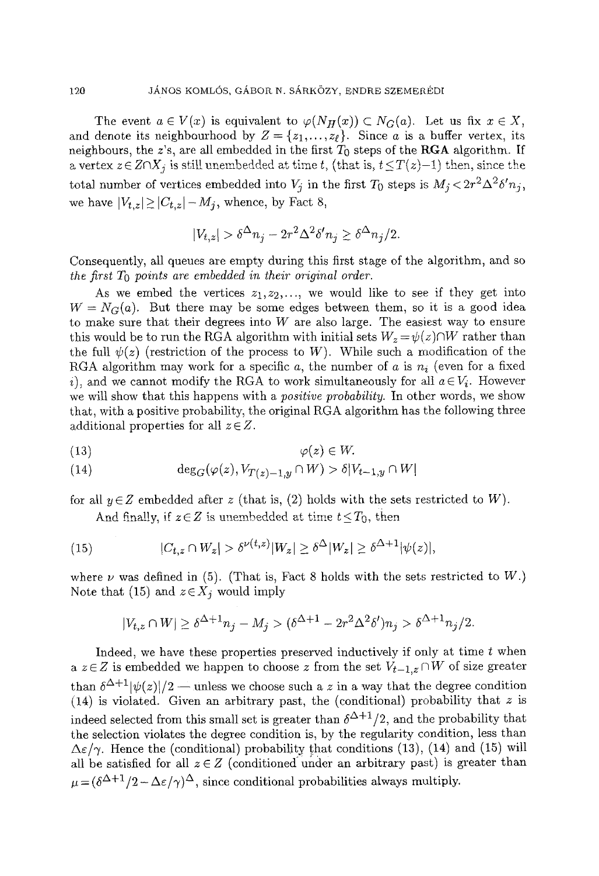The event  $a \in V(x)$  is equivalent to  $\varphi(N_H(x)) \subset N_G(a)$ . Let us fix  $x \in X$ , and denote its neighbourhood by  $Z = \{z_1, \ldots, z_\ell\}$ . Since a is a buffer vertex, its neighbours, the z's, are all embedded in the first  $T_0$  steps of the RGA algorithm. If a vertex  $z \in Z \cap X_j$  is still unembedded at time t, (that is,  $t \leq T(z)-1$ ) then, since the total number of vertices embedded into  $V_j$  in the first  $T_0$  steps is  $M_j < 2r^2\Delta^2 \delta' n_j$ , we have  $|V_{t,z}| \geq |C_{t,z}|-M_j$ , whence, by Fact 8,

$$
|V_{t,z}| > \delta^{\Delta} n_j - 2r^2 \Delta^2 \delta' n_j \ge \delta^{\Delta} n_j/2.
$$

Consequently, all queues are empty during this first stage of the algorithm, and so *the first*  $T_0$  *points are embedded in their original order.* 

As we embed the vertices  $z_1, z_2, \ldots$ , we would like to see if they get into  $W = N_G(a)$ . But there may be some edges between them, so it is a good idea to make sure that their degrees into  $W$  are also large. The easiest way to ensure this would be to run the RGA algorithm with initial sets  $W_z = \psi(z) \cap W$  rather than the full  $\psi(z)$  (restriction of the process to W). While such a modification of the RGA algorithm may work for a specific a, the number of a is  $n_i$  (even for a fixed i), and we cannot modify the RGA to work simultaneously for all  $a \in V_i$ . However we will show that this happens with a *positive probability.* In other words, we show that, with a positive probability, the original RGA algorithm has the following three additional properties for all  $z \in Z$ .

$$
\varphi(z) \in W.
$$

(14) 
$$
\deg_G(\varphi(z), V_{T(z)-1,y} \cap W) > \delta |V_{t-1,y} \cap W|
$$

for all  $y \in \mathbb{Z}$  embedded after z (that is, (2) holds with the sets restricted to W).

And finally, if  $z \in Z$  is unembedded at time  $t \le T_0$ , then

(15) 
$$
|C_{t,z} \cap W_z| > \delta^{\nu(t,z)}|W_z| \geq \delta^{\Delta} |W_z| \geq \delta^{\Delta+1} |\psi(z)|,
$$

where  $\nu$  was defined in (5). (That is, Fact 8 holds with the sets restricted to W.) Note that (15) and  $z \in X_j$  would imply

$$
|V_{t,z}\cap W|\geq \delta^{\Delta+1}n_j-M_j>(\delta^{\Delta+1}-2r^2\Delta^2\delta')n_j>\delta^{\Delta+1}n_j/2.
$$

Indeed, we have these properties preserved inductively if only at time t when a  $z \in Z$  is embedded we happen to choose z from the set  $V_{t-1,z} \cap W$  of size greater than  $\delta^{\Delta+1}|\psi(z)|/2$  -- unless we choose such a z in a way that the degree condition (14) is violated. Given an arbitrary past, the (conditional) probability that  $z$  is indeed selected from this small set is greater than  $\delta^{\Delta+1}/2$ , and the probability that the selection violates the degree condition is, by the regularity condition, less than  $\Delta \varepsilon / \gamma$ . Hence the (conditional) probability that conditions (13), (14) and (15) will all be satisfied for all  $z \in Z$  (conditioned under an arbitrary past) is greater than  $\mu = (\delta^{\Delta+1}/2 - \Delta\varepsilon/\gamma)^{\Delta}$ , since conditional probabilities always multiply.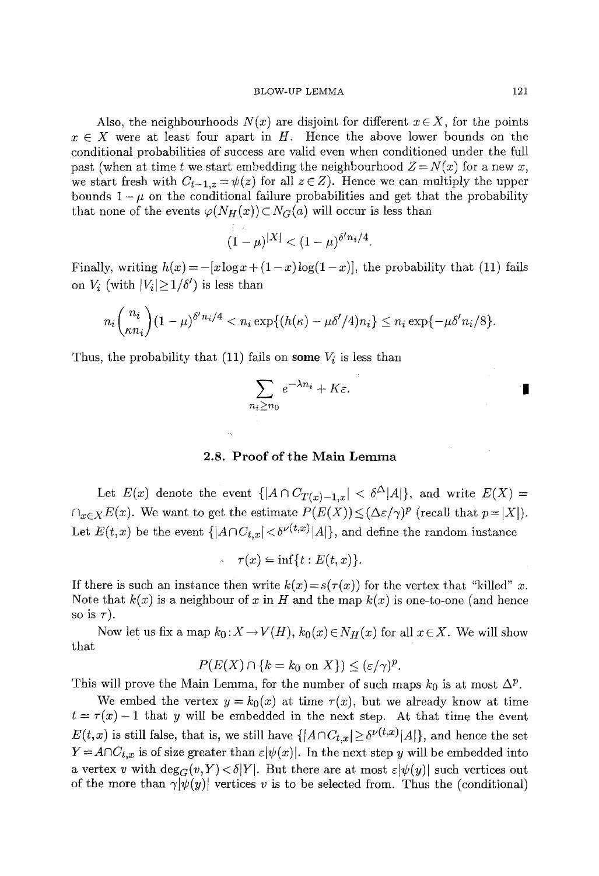Also, the neighbourhoods  $N(x)$  are disjoint for different  $x \in X$ , for the points  $x \in X$  were at least four apart in H. Hence the above lower bounds on the conditional probabilities of success are valid even when conditioned under the full past (when at time t we start embedding the neighbourhood  $Z = N(x)$  for a new x, we start fresh with  $C_{t-1,z} = \psi(z)$  for all  $z \in Z$ ). Hence we can multiply the upper bounds  $1-\mu$  on the conditional failure probabilities and get that the probability that none of the events  $\varphi(N_H(x))\subset N_G(a)$  will occur is less than

$$
(1-\mu)^{|X|} < (1-\mu)^{\delta' n_i/4}.
$$

Finally, writing  $h(x) = -[x \log x + (1-x) \log(1-x)]$ , the probability that (11) fails on  $V_i$  (with  $|V_i|\geq 1/\delta'$ ) is less than

$$
n_i\binom{n_i}{\kappa n_i}(1-\mu)^{\delta'n_i/4} < n_i\exp\{(h(\kappa)-\mu\delta'/4)n_i\} \leq n_i\exp\{-\mu\delta'n_i/8\}.
$$

Thus, the probability that (11) fails on some  $V_i$  is less than

$$
\sum_{n_i \ge n_0} e^{-\lambda n_i} + K \varepsilon.
$$

# 2.8. Proof of the Main Lemma

Let  $E(x)$  denote the event  $\{|A \cap C_{T(x)-1,x}| < \delta^{\Delta} |A|\}$ , and write  $E(X) =$  $\bigcap_{x\in X}E(x)$ . We want to get the estimate  $P(E(X)) \leq (\Delta \varepsilon/\gamma)^p$  (recall that  $p=|X|$ ). Let  $E(t,x)$  be the event  $\{|A \cap C_{t,x}| < \delta^{\nu(t,x)}|A|\}$ , and define the random instance

$$
\tau(x) = \inf\{t : E(t, x)\}.
$$

If there is such an instance then write  $k(x) = s(\tau(x))$  for the vertex that "killed" x. Note that  $k(x)$  is a neighbour of x in H and the map  $k(x)$  is one-to-one (and hence so is  $\tau$ ).

Now let us fix a map  $k_0: X \to V(H)$ ,  $k_0(x) \in N_H(x)$  for all  $x \in X$ . We will show that

$$
P(E(X) \cap \{k = k_0 \text{ on } X\}) \leq (\varepsilon/\gamma)^p.
$$

This will prove the Main Lemma, for the number of such maps  $k_0$  is at most  $\Delta^p$ .

We embed the vertex  $y = k_0(x)$  at time  $\tau(x)$ , but we already know at time  $t = \tau(x) - 1$  that y will be embedded in the next step. At that time the event  $E(t,x)$  is still false, that is, we still have  $\{|A \cap C_{t,x}| \geq \delta^{\nu(t,x)}|A|\}$ , and hence the set  $Y = A \cap C_{t,x}$  is of size greater than  $\varepsilon |\psi(x)|$ . In the next step y will be embedded into a vertex v with  $deg_G(v, Y) < \delta|Y|$ . But there are at most  $\varepsilon |\psi(y)|$  such vertices out of the more than  $\gamma[\psi(y)]$  vertices v is to be selected from. Thus the (conditional)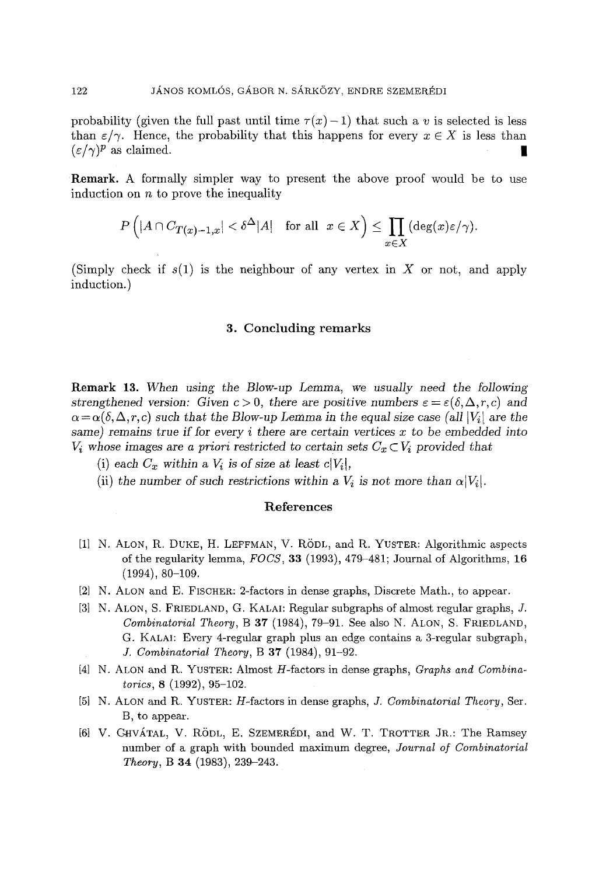probability (given the full past until time  $\tau(x)-1$ ) that such a v is selected is less than  $\varepsilon/\gamma$ . Hence, the probability that this happens for every  $x \in X$  is less than  $(\varepsilon/\gamma)^p$  as claimed.

Remark. A formally simpler way to present the above proof would be to use induction on  $n$  to prove the inequality

$$
P\left(|A\cap C_{T(x)-1,x}|<\delta^\Delta|A|\quad\text{for all}\;\;x\in X\right)\leq\prod_{x\in X}(\deg(x)\varepsilon/\gamma).
$$

(Simply check if  $s(1)$  is the neighbour of any vertex in X or not, and apply induction.)

# 3. Concluding remarks

Remark 13. *When using the Blow-up Lemma, we usually need the following strengthened version:* Given  $c > 0$ , there are positive numbers  $\varepsilon = \varepsilon(\delta, \Delta, r, c)$  and  $\alpha = \alpha(\delta, \Delta, r, c)$  such that the Blow-up Lemma in the equal size case (all  $|V_i|$  are the *same) remains true if for* every i there are *certain vertices* x to be *embedded* into  $V_i$  whose images are *a priori restricted to certain sets*  $C_x \subset V_i$  provided that

- (i) each  $C_x$  within a  $V_i$  is of size at least  $c|V_i|$ ,
- (ii) the number of such restrictions within a  $V_i$  is not more than  $\alpha|V_i|$ .

## References

- [11 N. ALON, R. DUKE, H. LEFFMAN, V. RODL, and R. YUSTER: Algorithmic aspects of the regularity lemma, *FOCS,* 33 (1993), 479-481; Journal of Algorithms, 16 (1994), 80-109.
- [2] N. ALON and E. FISCHER: 2-factors in dense graphs, Discrete Math., to appear.
- [3] N. ALON, S. FRIEDLAND, G. KALAI: Regular subgraphs of almost regular graphs, J. *Combinatorial Theory*, B 37 (1984), 79-91. See also N. ALON, S. FRIEDLAND, G. KALAI: Every 4-regular graph plus an edge contains a 3-regular subgraph, *J. Combinatorial Theory,* B 37 (1984), 91-92.
- [4] N. ALON and R. YUSTER: Almost H-factors in dense graphs, *Graphs and Combinatorics;* 8 (1992), 95-102.
- [5] N. ALON and R. YUSTER: H-factors in dense graphs, Y. *Combinatorial Theory,* Ser. B, to appear.
- [6] V. GHVÁTAL, V. RÖDL, E. SZEMERÉDI, and W. T. TROTTER JR.: The Ramsey number of a graph with bounded maximum degree, *Journal of Combinatorial Theory,* B 34 (1983), 239-243.